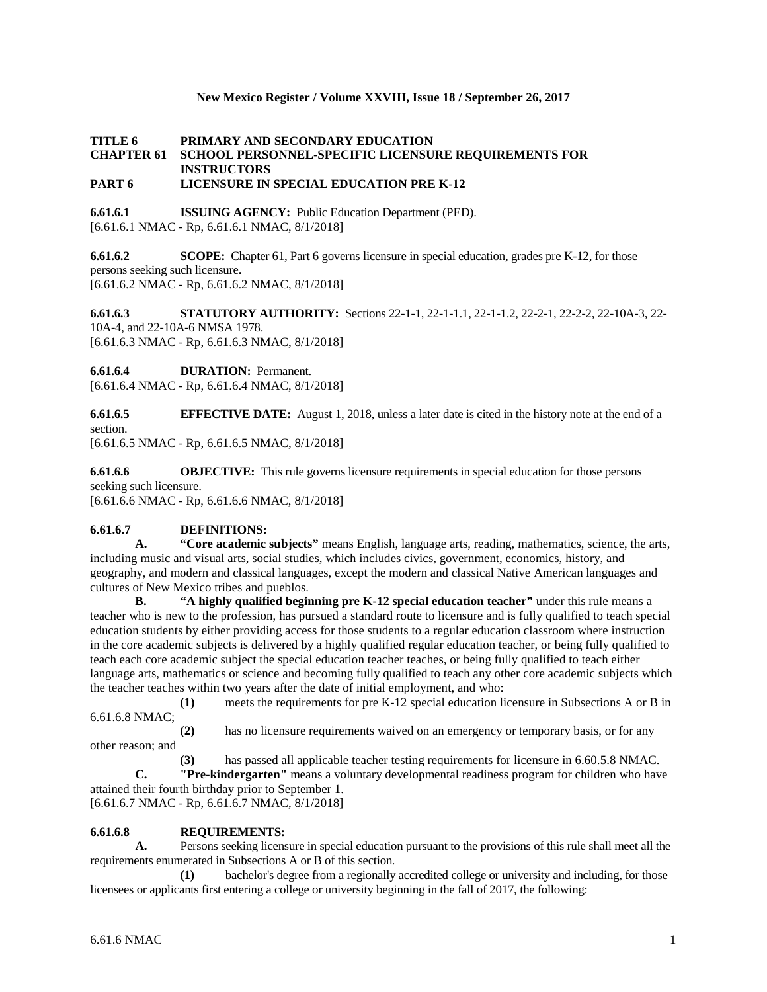## **New Mexico Register / Volume XXVIII, Issue 18 / September 26, 2017**

# **TITLE 6 PRIMARY AND SECONDARY EDUCATION CHAPTER 61 SCHOOL PERSONNEL-SPECIFIC LICENSURE REQUIREMENTS FOR INSTRUCTORS**

## **PART 6 LICENSURE IN SPECIAL EDUCATION PRE K-12**

**6.61.6.1 ISSUING AGENCY:** Public Education Department (PED). [6.61.6.1 NMAC - Rp, 6.61.6.1 NMAC, 8/1/2018]

**6.61.6.2 SCOPE:** Chapter 61, Part 6 governs licensure in special education, grades pre K-12, for those persons seeking such licensure. [6.61.6.2 NMAC - Rp, 6.61.6.2 NMAC, 8/1/2018]

**6.61.6.3 STATUTORY AUTHORITY:** Sections 22-1-1, 22-1-1.1, 22-1-1.2, 22-2-1, 22-2-2, 22-10A-3, 22- 10A-4, and 22-10A-6 NMSA 1978. [6.61.6.3 NMAC - Rp, 6.61.6.3 NMAC, 8/1/2018]

**6.61.6.4 DURATION:** Permanent.

[6.61.6.4 NMAC - Rp, 6.61.6.4 NMAC, 8/1/2018]

**6.61.6.5 EFFECTIVE DATE:** August 1, 2018, unless a later date is cited in the history note at the end of a section.

[6.61.6.5 NMAC - Rp, 6.61.6.5 NMAC, 8/1/2018]

**6.61.6.6 OBJECTIVE:** This rule governs licensure requirements in special education for those persons seeking such licensure.

[6.61.6.6 NMAC - Rp, 6.61.6.6 NMAC, 8/1/2018]

## **6.61.6.7 DEFINITIONS:**

**A. "Core academic subjects"** means English, language arts, reading, mathematics, science, the arts, including music and visual arts, social studies, which includes civics, government, economics, history, and geography, and modern and classical languages, except the modern and classical Native American languages and cultures of New Mexico tribes and pueblos.

**B. "A highly qualified beginning pre K-12 special education teacher"** under this rule means a teacher who is new to the profession, has pursued a standard route to licensure and is fully qualified to teach special education students by either providing access for those students to a regular education classroom where instruction in the core academic subjects is delivered by a highly qualified regular education teacher, or being fully qualified to teach each core academic subject the special education teacher teaches, or being fully qualified to teach either language arts, mathematics or science and becoming fully qualified to teach any other core academic subjects which the teacher teaches within two years after the date of initial employment, and who:

**(1)** meets the requirements for pre K-12 special education licensure in Subsections A or B in 6.61.6.8 NMAC;

**(2)** has no licensure requirements waived on an emergency or temporary basis, or for any other reason; and

**(3)** has passed all applicable teacher testing requirements for licensure in 6.60.5.8 NMAC. **C. "Pre-kindergarten"** means a voluntary developmental readiness program for children who have

attained their fourth birthday prior to September 1.

[6.61.6.7 NMAC - Rp, 6.61.6.7 NMAC, 8/1/2018]

## **6.61.6.8 REQUIREMENTS:**

**A.** Persons seeking licensure in special education pursuant to the provisions of this rule shall meet all the requirements enumerated in Subsections A or B of this section.

**(1)** bachelor's degree from a regionally accredited college or university and including, for those licensees or applicants first entering a college or university beginning in the fall of 2017, the following: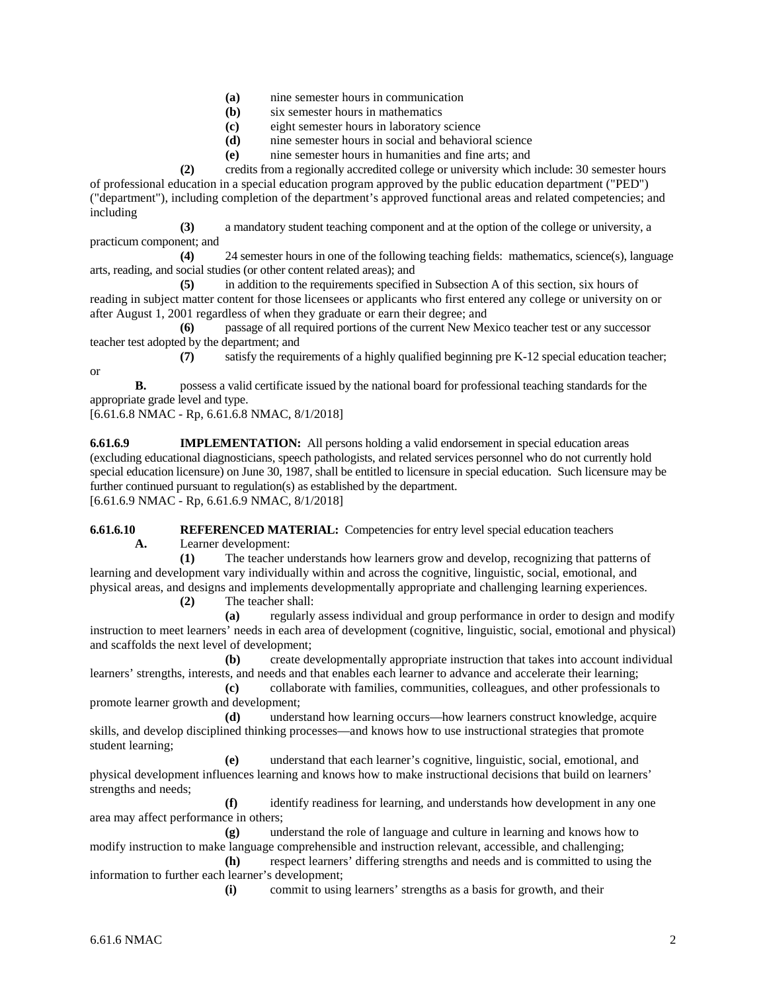- **(a)** nine semester hours in communication
- **(b)** six semester hours in mathematics
- **(c)** eight semester hours in laboratory science
- **(d)** nine semester hours in social and behavioral science
- **(e)** nine semester hours in humanities and fine arts; and

**(2)** credits from a regionally accredited college or university which include: 30 semester hours of professional education in a special education program approved by the public education department ("PED") ("department"), including completion of the department's approved functional areas and related competencies; and including

**(3)** a mandatory student teaching component and at the option of the college or university, a practicum component; and

**(4)** 24 semester hours in one of the following teaching fields: mathematics, science(s), language arts, reading, and social studies (or other content related areas); and

**(5)** in addition to the requirements specified in Subsection A of this section, six hours of reading in subject matter content for those licensees or applicants who first entered any college or university on or after August 1, 2001 regardless of when they graduate or earn their degree; and

**(6)** passage of all required portions of the current New Mexico teacher test or any successor teacher test adopted by the department; and

**(7)** satisfy the requirements of a highly qualified beginning pre K-12 special education teacher;

**B.** possess a valid certificate issued by the national board for professional teaching standards for the appropriate grade level and type.

[6.61.6.8 NMAC - Rp, 6.61.6.8 NMAC, 8/1/2018]

or

**6.61.6.9 IMPLEMENTATION:** All persons holding a valid endorsement in special education areas (excluding educational diagnosticians, speech pathologists, and related services personnel who do not currently hold special education licensure) on June 30, 1987, shall be entitled to licensure in special education. Such licensure may be further continued pursuant to regulation(s) as established by the department. [6.61.6.9 NMAC - Rp, 6.61.6.9 NMAC, 8/1/2018]

**6.61.6.10 REFERENCED MATERIAL:** Competencies for entry level special education teachers

**A.** Learner development:

**(1)** The teacher understands how learners grow and develop, recognizing that patterns of learning and development vary individually within and across the cognitive, linguistic, social, emotional, and physical areas, and designs and implements developmentally appropriate and challenging learning experiences.

**(2)** The teacher shall:

**(a)** regularly assess individual and group performance in order to design and modify instruction to meet learners' needs in each area of development (cognitive, linguistic, social, emotional and physical) and scaffolds the next level of development;

**(b)** create developmentally appropriate instruction that takes into account individual learners' strengths, interests, and needs and that enables each learner to advance and accelerate their learning;

**(c)** collaborate with families, communities, colleagues, and other professionals to promote learner growth and development;

**(d)** understand how learning occurs—how learners construct knowledge, acquire skills, and develop disciplined thinking processes—and knows how to use instructional strategies that promote student learning;

**(e)** understand that each learner's cognitive, linguistic, social, emotional, and physical development influences learning and knows how to make instructional decisions that build on learners' strengths and needs;

**(f)** identify readiness for learning, and understands how development in any one area may affect performance in others;

**(g)** understand the role of language and culture in learning and knows how to modify instruction to make language comprehensible and instruction relevant, accessible, and challenging; **(h)** respect learners' differing strengths and needs and is committed to using the

information to further each learner's development; **(i)** commit to using learners' strengths as a basis for growth, and their

6.61.6 NMAC 2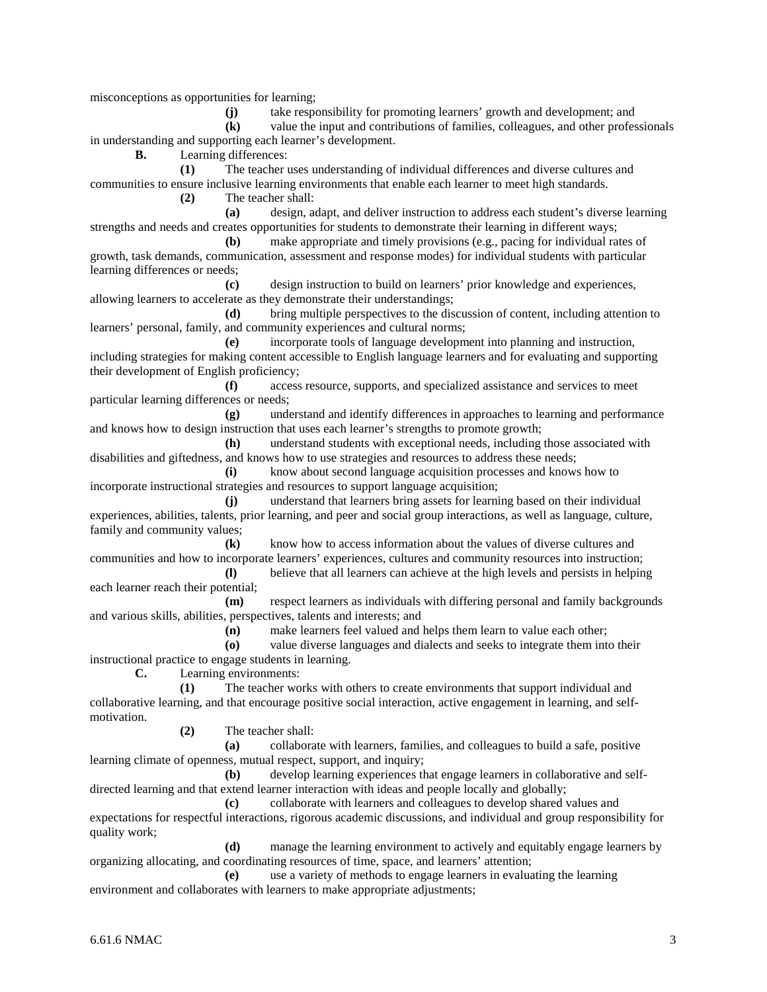misconceptions as opportunities for learning;

**(j)** take responsibility for promoting learners' growth and development; and

**(k)** value the input and contributions of families, colleagues, and other professionals in understanding and supporting each learner's development.

**B.** Learning differences:

**(1)** The teacher uses understanding of individual differences and diverse cultures and communities to ensure inclusive learning environments that enable each learner to meet high standards. **(2)** The teacher shall:

**(a)** design, adapt, and deliver instruction to address each student's diverse learning strengths and needs and creates opportunities for students to demonstrate their learning in different ways;

**(b)** make appropriate and timely provisions (e.g., pacing for individual rates of growth, task demands, communication, assessment and response modes) for individual students with particular learning differences or needs;

**(c)** design instruction to build on learners' prior knowledge and experiences, allowing learners to accelerate as they demonstrate their understandings;

**(d)** bring multiple perspectives to the discussion of content, including attention to learners' personal, family, and community experiences and cultural norms;

**(e)** incorporate tools of language development into planning and instruction, including strategies for making content accessible to English language learners and for evaluating and supporting their development of English proficiency;

**(f)** access resource, supports, and specialized assistance and services to meet particular learning differences or needs;

**(g)** understand and identify differences in approaches to learning and performance and knows how to design instruction that uses each learner's strengths to promote growth;

**(h)** understand students with exceptional needs, including those associated with disabilities and giftedness, and knows how to use strategies and resources to address these needs;

**(i)** know about second language acquisition processes and knows how to incorporate instructional strategies and resources to support language acquisition;

**(j)** understand that learners bring assets for learning based on their individual experiences, abilities, talents, prior learning, and peer and social group interactions, as well as language, culture, family and community values;

**(k)** know how to access information about the values of diverse cultures and communities and how to incorporate learners' experiences, cultures and community resources into instruction; **(l)** believe that all learners can achieve at the high levels and persists in helping

each learner reach their potential;

**(m)** respect learners as individuals with differing personal and family backgrounds and various skills, abilities, perspectives, talents and interests; and

**(n)** make learners feel valued and helps them learn to value each other;

**(o)** value diverse languages and dialects and seeks to integrate them into their instructional practice to engage students in learning.

**C.** Learning environments:

**(1)** The teacher works with others to create environments that support individual and collaborative learning, and that encourage positive social interaction, active engagement in learning, and selfmotivation.

**(2)** The teacher shall:

**(a)** collaborate with learners, families, and colleagues to build a safe, positive learning climate of openness, mutual respect, support, and inquiry;

**(b)** develop learning experiences that engage learners in collaborative and selfdirected learning and that extend learner interaction with ideas and people locally and globally;

**(c)** collaborate with learners and colleagues to develop shared values and expectations for respectful interactions, rigorous academic discussions, and individual and group responsibility for quality work;

**(d)** manage the learning environment to actively and equitably engage learners by organizing allocating, and coordinating resources of time, space, and learners' attention;

**(e)** use a variety of methods to engage learners in evaluating the learning environment and collaborates with learners to make appropriate adjustments;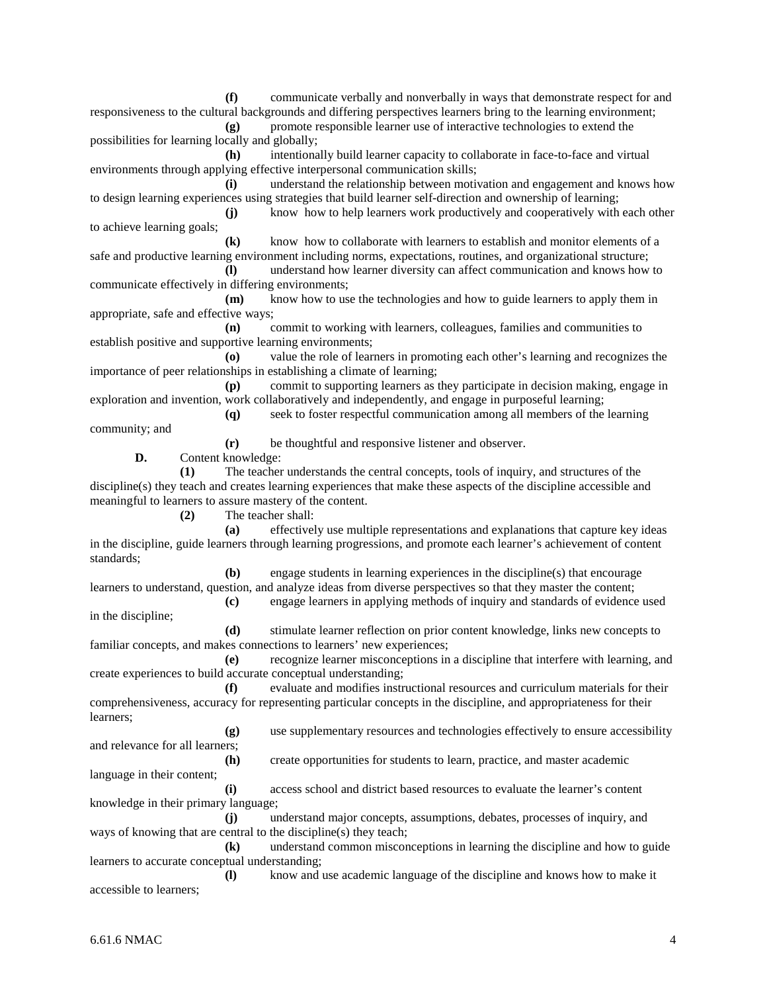**(f)** communicate verbally and nonverbally in ways that demonstrate respect for and responsiveness to the cultural backgrounds and differing perspectives learners bring to the learning environment; **(g)** promote responsible learner use of interactive technologies to extend the

possibilities for learning locally and globally;

**(h)** intentionally build learner capacity to collaborate in face-to-face and virtual environments through applying effective interpersonal communication skills;

**(i)** understand the relationship between motivation and engagement and knows how to design learning experiences using strategies that build learner self-direction and ownership of learning;

**(j)** know how to help learners work productively and cooperatively with each other to achieve learning goals;

**(k)** know how to collaborate with learners to establish and monitor elements of a safe and productive learning environment including norms, expectations, routines, and organizational structure;

**(l)** understand how learner diversity can affect communication and knows how to communicate effectively in differing environments;

**(m)** know how to use the technologies and how to guide learners to apply them in appropriate, safe and effective ways;

**(n)** commit to working with learners, colleagues, families and communities to establish positive and supportive learning environments;

**(o)** value the role of learners in promoting each other's learning and recognizes the importance of peer relationships in establishing a climate of learning;

**(p)** commit to supporting learners as they participate in decision making, engage in exploration and invention, work collaboratively and independently, and engage in purposeful learning; **(q)** seek to foster respectful communication among all members of the learning

community; and

**(r)** be thoughtful and responsive listener and observer.

**D.** Content knowledge:

**(1)** The teacher understands the central concepts, tools of inquiry, and structures of the discipline(s) they teach and creates learning experiences that make these aspects of the discipline accessible and meaningful to learners to assure mastery of the content.

**(2)** The teacher shall:

**(a)** effectively use multiple representations and explanations that capture key ideas in the discipline, guide learners through learning progressions, and promote each learner's achievement of content standards;

**(b)** engage students in learning experiences in the discipline(s) that encourage learners to understand, question, and analyze ideas from diverse perspectives so that they master the content;

**(c)** engage learners in applying methods of inquiry and standards of evidence used in the discipline;

**(d)** stimulate learner reflection on prior content knowledge, links new concepts to familiar concepts, and makes connections to learners' new experiences;

**(e)** recognize learner misconceptions in a discipline that interfere with learning, and create experiences to build accurate conceptual understanding;

**(f)** evaluate and modifies instructional resources and curriculum materials for their comprehensiveness, accuracy for representing particular concepts in the discipline, and appropriateness for their learners;

**(g)** use supplementary resources and technologies effectively to ensure accessibility and relevance for all learners;

**(h)** create opportunities for students to learn, practice, and master academic language in their content;

**(i)** access school and district based resources to evaluate the learner's content knowledge in their primary language;

**(j)** understand major concepts, assumptions, debates, processes of inquiry, and ways of knowing that are central to the discipline(s) they teach;

**(k)** understand common misconceptions in learning the discipline and how to guide learners to accurate conceptual understanding;

**(l)** know and use academic language of the discipline and knows how to make it accessible to learners;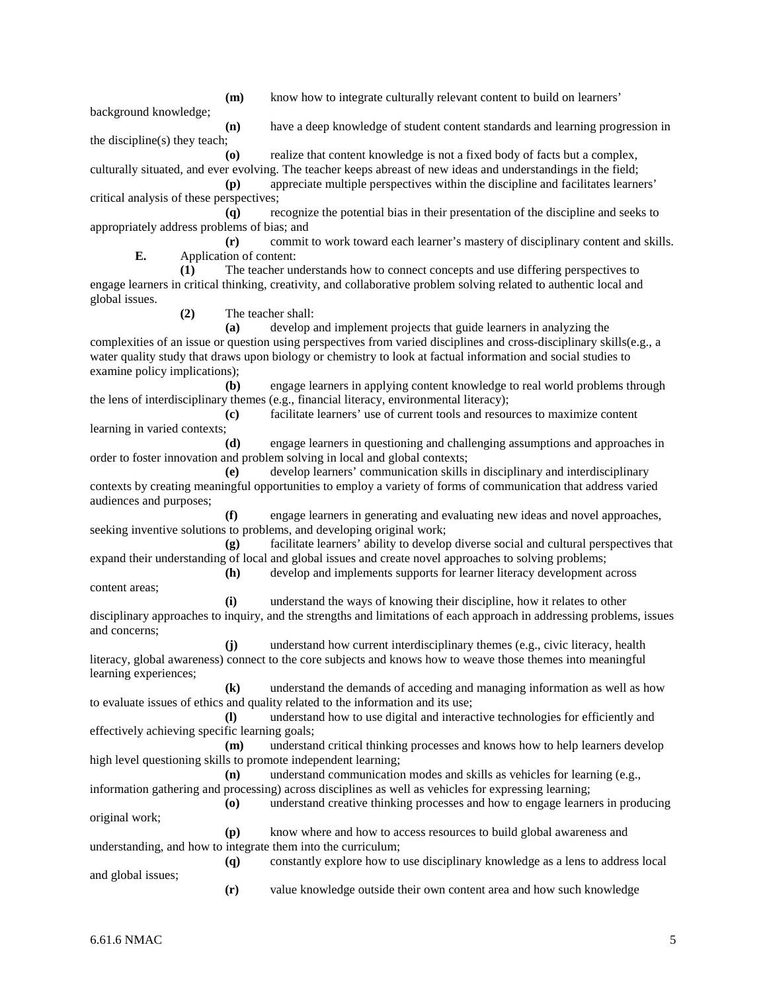**(m)** know how to integrate culturally relevant content to build on learners'

background knowledge;

**(n)** have a deep knowledge of student content standards and learning progression in

the discipline(s) they teach;

**(o)** realize that content knowledge is not a fixed body of facts but a complex,

culturally situated, and ever evolving. The teacher keeps abreast of new ideas and understandings in the field; **(p)** appreciate multiple perspectives within the discipline and facilitates learners' critical analysis of these perspectives;

**(q)** recognize the potential bias in their presentation of the discipline and seeks to appropriately address problems of bias; and

**(r)** commit to work toward each learner's mastery of disciplinary content and skills. **E.** Application of content:

**(1)** The teacher understands how to connect concepts and use differing perspectives to engage learners in critical thinking, creativity, and collaborative problem solving related to authentic local and global issues.

**(2)** The teacher shall:

**(a)** develop and implement projects that guide learners in analyzing the

complexities of an issue or question using perspectives from varied disciplines and cross-disciplinary skills(e.g., a water quality study that draws upon biology or chemistry to look at factual information and social studies to examine policy implications);

**(b)** engage learners in applying content knowledge to real world problems through the lens of interdisciplinary themes (e.g., financial literacy, environmental literacy);

**(c)** facilitate learners' use of current tools and resources to maximize content learning in varied contexts;

**(d)** engage learners in questioning and challenging assumptions and approaches in order to foster innovation and problem solving in local and global contexts;

**(e)** develop learners' communication skills in disciplinary and interdisciplinary contexts by creating meaningful opportunities to employ a variety of forms of communication that address varied audiences and purposes;

**(f)** engage learners in generating and evaluating new ideas and novel approaches, seeking inventive solutions to problems, and developing original work;

**(g)** facilitate learners' ability to develop diverse social and cultural perspectives that expand their understanding of local and global issues and create novel approaches to solving problems;

**(h)** develop and implements supports for learner literacy development across content areas;

**(i)** understand the ways of knowing their discipline, how it relates to other disciplinary approaches to inquiry, and the strengths and limitations of each approach in addressing problems, issues and concerns;

**(j)** understand how current interdisciplinary themes (e.g., civic literacy, health literacy, global awareness) connect to the core subjects and knows how to weave those themes into meaningful learning experiences;

**(k)** understand the demands of acceding and managing information as well as how to evaluate issues of ethics and quality related to the information and its use;

**(l)** understand how to use digital and interactive technologies for efficiently and effectively achieving specific learning goals;

**(m)** understand critical thinking processes and knows how to help learners develop high level questioning skills to promote independent learning;

**(n)** understand communication modes and skills as vehicles for learning (e.g., information gathering and processing) across disciplines as well as vehicles for expressing learning;

**(o)** understand creative thinking processes and how to engage learners in producing original work;

**(p)** know where and how to access resources to build global awareness and understanding, and how to integrate them into the curriculum; **(q)** constantly explore how to use disciplinary knowledge as a lens to address local

and global issues;

**(r)** value knowledge outside their own content area and how such knowledge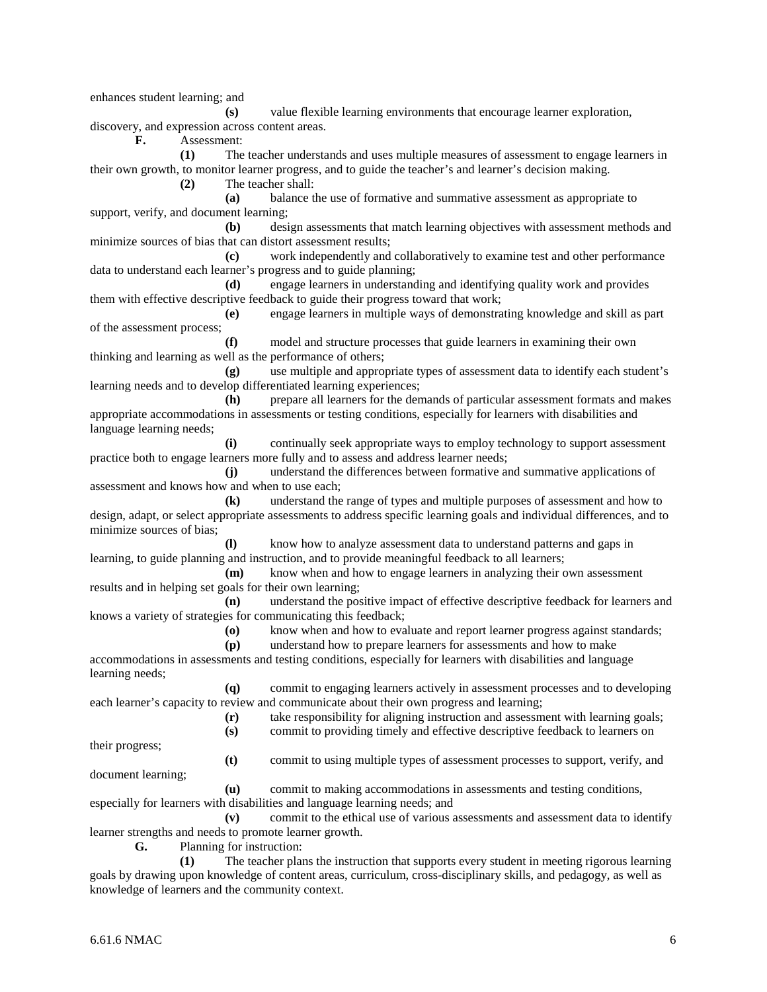enhances student learning; and

**(s)** value flexible learning environments that encourage learner exploration, discovery, and expression across content areas.

**F.** Assessment:

**(1)** The teacher understands and uses multiple measures of assessment to engage learners in their own growth, to monitor learner progress, and to guide the teacher's and learner's decision making.

**(2)** The teacher shall:

**(a)** balance the use of formative and summative assessment as appropriate to support, verify, and document learning;

**(b)** design assessments that match learning objectives with assessment methods and minimize sources of bias that can distort assessment results;

**(c)** work independently and collaboratively to examine test and other performance data to understand each learner's progress and to guide planning;

**(d)** engage learners in understanding and identifying quality work and provides them with effective descriptive feedback to guide their progress toward that work;

**(e)** engage learners in multiple ways of demonstrating knowledge and skill as part of the assessment process;

**(f)** model and structure processes that guide learners in examining their own thinking and learning as well as the performance of others;

**(g)** use multiple and appropriate types of assessment data to identify each student's learning needs and to develop differentiated learning experiences;

**(h)** prepare all learners for the demands of particular assessment formats and makes appropriate accommodations in assessments or testing conditions, especially for learners with disabilities and language learning needs;

**(i)** continually seek appropriate ways to employ technology to support assessment practice both to engage learners more fully and to assess and address learner needs;

**(j)** understand the differences between formative and summative applications of assessment and knows how and when to use each;

**(k)** understand the range of types and multiple purposes of assessment and how to design, adapt, or select appropriate assessments to address specific learning goals and individual differences, and to minimize sources of bias;

**(l)** know how to analyze assessment data to understand patterns and gaps in learning, to guide planning and instruction, and to provide meaningful feedback to all learners;

**(m)** know when and how to engage learners in analyzing their own assessment results and in helping set goals for their own learning;

**(n)** understand the positive impact of effective descriptive feedback for learners and knows a variety of strategies for communicating this feedback;

**(o)** know when and how to evaluate and report learner progress against standards;

**(p)** understand how to prepare learners for assessments and how to make accommodations in assessments and testing conditions, especially for learners with disabilities and language learning needs;

**(q)** commit to engaging learners actively in assessment processes and to developing each learner's capacity to review and communicate about their own progress and learning;

**(r)** take responsibility for aligning instruction and assessment with learning goals;

**(s)** commit to providing timely and effective descriptive feedback to learners on

their progress;

**(t)** commit to using multiple types of assessment processes to support, verify, and

document learning;

**(u)** commit to making accommodations in assessments and testing conditions, especially for learners with disabilities and language learning needs; and

**(v)** commit to the ethical use of various assessments and assessment data to identify learner strengths and needs to promote learner growth.

**G.** Planning for instruction:

**(1)** The teacher plans the instruction that supports every student in meeting rigorous learning goals by drawing upon knowledge of content areas, curriculum, cross-disciplinary skills, and pedagogy, as well as knowledge of learners and the community context.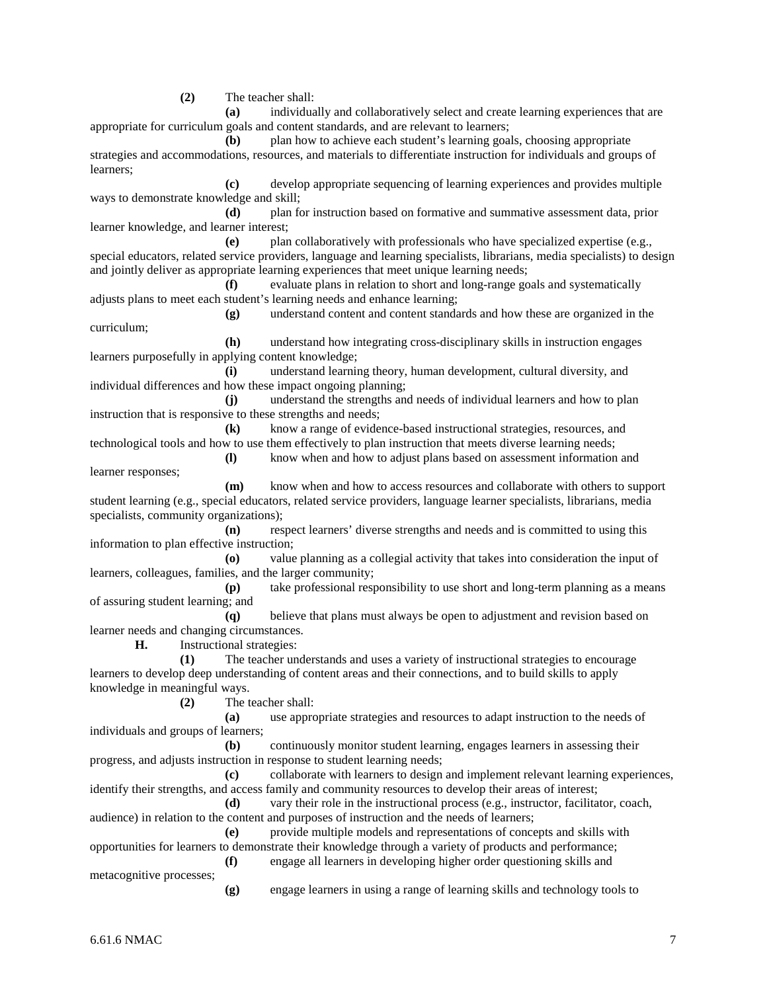**(2)** The teacher shall:

**(a)** individually and collaboratively select and create learning experiences that are appropriate for curriculum goals and content standards, and are relevant to learners;

**(b)** plan how to achieve each student's learning goals, choosing appropriate strategies and accommodations, resources, and materials to differentiate instruction for individuals and groups of learners;

**(c)** develop appropriate sequencing of learning experiences and provides multiple ways to demonstrate knowledge and skill;

**(d)** plan for instruction based on formative and summative assessment data, prior learner knowledge, and learner interest;

**(e)** plan collaboratively with professionals who have specialized expertise (e.g., special educators, related service providers, language and learning specialists, librarians, media specialists) to design and jointly deliver as appropriate learning experiences that meet unique learning needs;

**(f)** evaluate plans in relation to short and long-range goals and systematically adjusts plans to meet each student's learning needs and enhance learning;

**(g)** understand content and content standards and how these are organized in the curriculum;

**(h)** understand how integrating cross-disciplinary skills in instruction engages learners purposefully in applying content knowledge;

**(i)** understand learning theory, human development, cultural diversity, and individual differences and how these impact ongoing planning;

**(j)** understand the strengths and needs of individual learners and how to plan instruction that is responsive to these strengths and needs;

**(k)** know a range of evidence-based instructional strategies, resources, and technological tools and how to use them effectively to plan instruction that meets diverse learning needs;

**(l)** know when and how to adjust plans based on assessment information and learner responses;

**(m)** know when and how to access resources and collaborate with others to support student learning (e.g., special educators, related service providers, language learner specialists, librarians, media specialists, community organizations);

**(n)** respect learners' diverse strengths and needs and is committed to using this information to plan effective instruction;

**(o)** value planning as a collegial activity that takes into consideration the input of learners, colleagues, families, and the larger community;

**(p)** take professional responsibility to use short and long-term planning as a means of assuring student learning; and

**(q)** believe that plans must always be open to adjustment and revision based on learner needs and changing circumstances.

**H.** Instructional strategies:

**(1)** The teacher understands and uses a variety of instructional strategies to encourage learners to develop deep understanding of content areas and their connections, and to build skills to apply knowledge in meaningful ways.

**(2)** The teacher shall:

**(a)** use appropriate strategies and resources to adapt instruction to the needs of individuals and groups of learners;

**(b)** continuously monitor student learning, engages learners in assessing their progress, and adjusts instruction in response to student learning needs;

**(c)** collaborate with learners to design and implement relevant learning experiences, identify their strengths, and access family and community resources to develop their areas of interest;

**(d)** vary their role in the instructional process (e.g., instructor, facilitator, coach, audience) in relation to the content and purposes of instruction and the needs of learners;

**(e)** provide multiple models and representations of concepts and skills with opportunities for learners to demonstrate their knowledge through a variety of products and performance; **(f)** engage all learners in developing higher order questioning skills and

metacognitive processes;

**(g)** engage learners in using a range of learning skills and technology tools to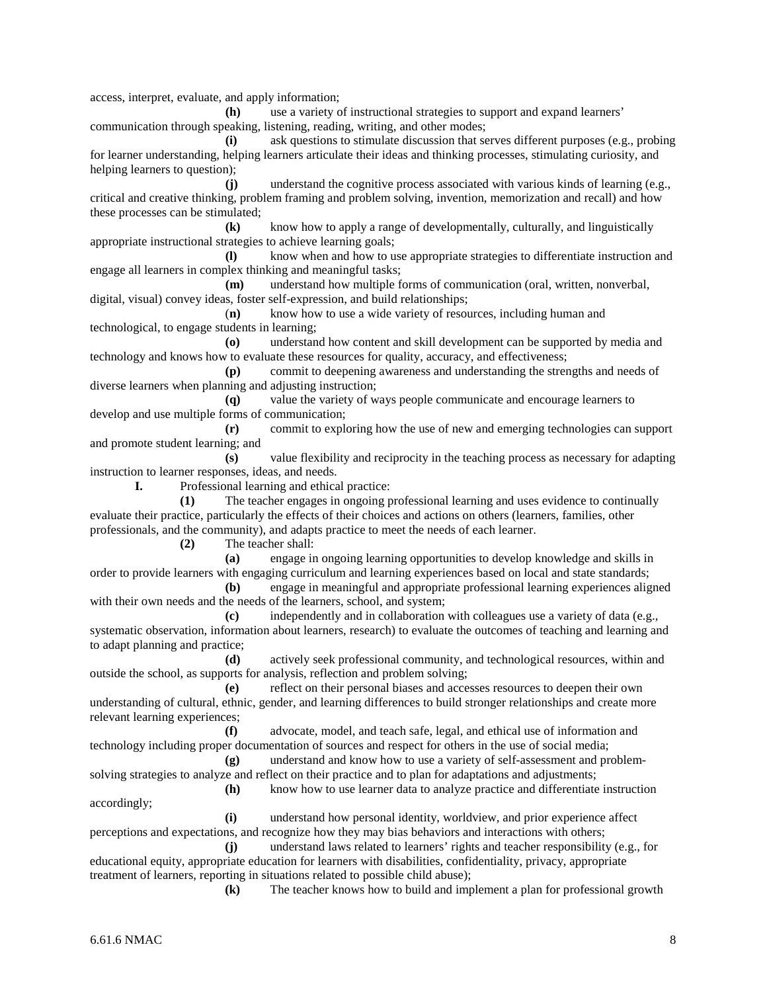access, interpret, evaluate, and apply information;

**(h)** use a variety of instructional strategies to support and expand learners' communication through speaking, listening, reading, writing, and other modes;

**(i)** ask questions to stimulate discussion that serves different purposes (e.g., probing for learner understanding, helping learners articulate their ideas and thinking processes, stimulating curiosity, and helping learners to question);

**(j)** understand the cognitive process associated with various kinds of learning (e.g., critical and creative thinking, problem framing and problem solving, invention, memorization and recall) and how these processes can be stimulated;

**(k)** know how to apply a range of developmentally, culturally, and linguistically appropriate instructional strategies to achieve learning goals;

**(l)** know when and how to use appropriate strategies to differentiate instruction and engage all learners in complex thinking and meaningful tasks;

**(m)** understand how multiple forms of communication (oral, written, nonverbal, digital, visual) convey ideas, foster self-expression, and build relationships;

(**n)** know how to use a wide variety of resources, including human and technological, to engage students in learning;

**(o)** understand how content and skill development can be supported by media and technology and knows how to evaluate these resources for quality, accuracy, and effectiveness;

**(p)** commit to deepening awareness and understanding the strengths and needs of diverse learners when planning and adjusting instruction;

**(q)** value the variety of ways people communicate and encourage learners to develop and use multiple forms of communication;

**(r)** commit to exploring how the use of new and emerging technologies can support and promote student learning; and

**(s)** value flexibility and reciprocity in the teaching process as necessary for adapting instruction to learner responses, ideas, and needs.

**I.** Professional learning and ethical practice:

**(1)** The teacher engages in ongoing professional learning and uses evidence to continually evaluate their practice, particularly the effects of their choices and actions on others (learners, families, other professionals, and the community), and adapts practice to meet the needs of each learner.

**(2)** The teacher shall:

**(a)** engage in ongoing learning opportunities to develop knowledge and skills in order to provide learners with engaging curriculum and learning experiences based on local and state standards;

**(b)** engage in meaningful and appropriate professional learning experiences aligned with their own needs and the needs of the learners, school, and system;

**(c)** independently and in collaboration with colleagues use a variety of data (e.g., systematic observation, information about learners, research) to evaluate the outcomes of teaching and learning and to adapt planning and practice;

**(d)** actively seek professional community, and technological resources, within and outside the school, as supports for analysis, reflection and problem solving;

**(e)** reflect on their personal biases and accesses resources to deepen their own understanding of cultural, ethnic, gender, and learning differences to build stronger relationships and create more relevant learning experiences;

**(f)** advocate, model, and teach safe, legal, and ethical use of information and technology including proper documentation of sources and respect for others in the use of social media;

**(g)** understand and know how to use a variety of self-assessment and problemsolving strategies to analyze and reflect on their practice and to plan for adaptations and adjustments;

**(h)** know how to use learner data to analyze practice and differentiate instruction accordingly;

**(i)** understand how personal identity, worldview, and prior experience affect perceptions and expectations, and recognize how they may bias behaviors and interactions with others;

**(j)** understand laws related to learners' rights and teacher responsibility (e.g., for educational equity, appropriate education for learners with disabilities, confidentiality, privacy, appropriate treatment of learners, reporting in situations related to possible child abuse);

**(k)** The teacher knows how to build and implement a plan for professional growth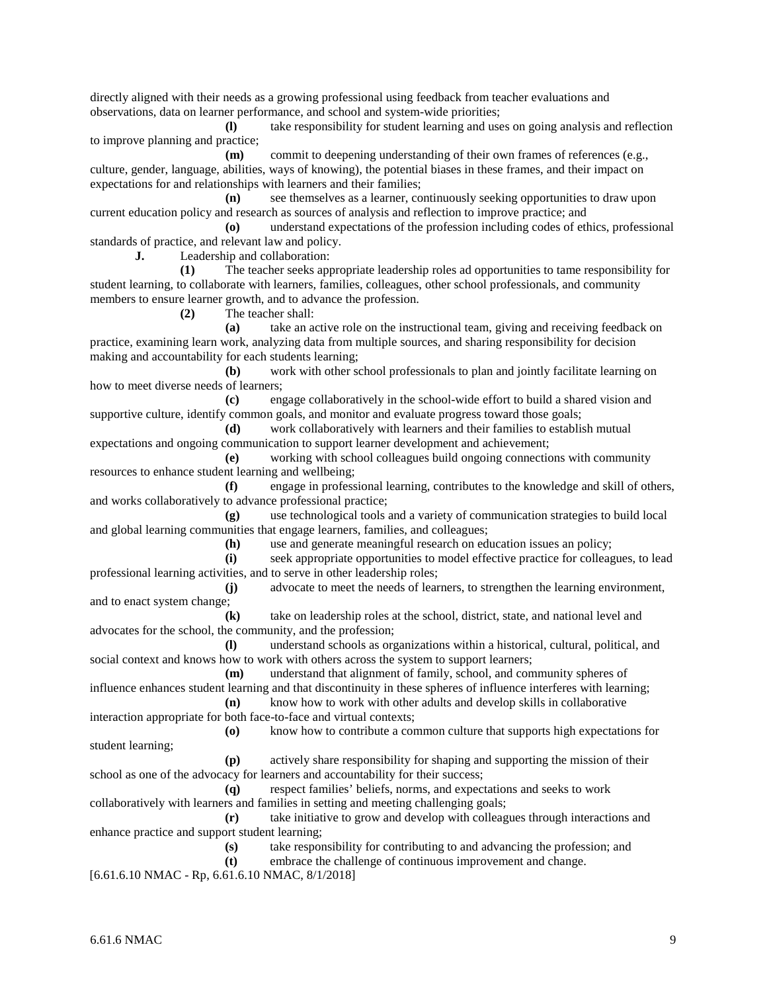directly aligned with their needs as a growing professional using feedback from teacher evaluations and observations, data on learner performance, and school and system-wide priorities;

**(l)** take responsibility for student learning and uses on going analysis and reflection to improve planning and practice; **(m)** commit to deepening understanding of their own frames of references (e.g.,

culture, gender, language, abilities, ways of knowing), the potential biases in these frames, and their impact on expectations for and relationships with learners and their families;

**(n)** see themselves as a learner, continuously seeking opportunities to draw upon current education policy and research as sources of analysis and reflection to improve practice; and

**(o)** understand expectations of the profession including codes of ethics, professional standards of practice, and relevant law and policy.

**J.** Leadership and collaboration:

**(1)** The teacher seeks appropriate leadership roles ad opportunities to tame responsibility for student learning, to collaborate with learners, families, colleagues, other school professionals, and community members to ensure learner growth, and to advance the profession.

**(2)** The teacher shall:

**(a)** take an active role on the instructional team, giving and receiving feedback on practice, examining learn work, analyzing data from multiple sources, and sharing responsibility for decision making and accountability for each students learning;

**(b)** work with other school professionals to plan and jointly facilitate learning on how to meet diverse needs of learners;

**(c)** engage collaboratively in the school-wide effort to build a shared vision and supportive culture, identify common goals, and monitor and evaluate progress toward those goals;

**(d)** work collaboratively with learners and their families to establish mutual expectations and ongoing communication to support learner development and achievement;

**(e)** working with school colleagues build ongoing connections with community resources to enhance student learning and wellbeing;

**(f)** engage in professional learning, contributes to the knowledge and skill of others, and works collaboratively to advance professional practice;

**(g)** use technological tools and a variety of communication strategies to build local and global learning communities that engage learners, families, and colleagues;

**(h)** use and generate meaningful research on education issues an policy;

**(i)** seek appropriate opportunities to model effective practice for colleagues, to lead professional learning activities, and to serve in other leadership roles;

**(j)** advocate to meet the needs of learners, to strengthen the learning environment, and to enact system change;

**(k)** take on leadership roles at the school, district, state, and national level and advocates for the school, the community, and the profession;

**(l)** understand schools as organizations within a historical, cultural, political, and social context and knows how to work with others across the system to support learners;

**(m)** understand that alignment of family, school, and community spheres of influence enhances student learning and that discontinuity in these spheres of influence interferes with learning;

**(n)** know how to work with other adults and develop skills in collaborative interaction appropriate for both face-to-face and virtual contexts;

**(o)** know how to contribute a common culture that supports high expectations for student learning;

**(p)** actively share responsibility for shaping and supporting the mission of their school as one of the advocacy for learners and accountability for their success;

**(q)** respect families' beliefs, norms, and expectations and seeks to work collaboratively with learners and families in setting and meeting challenging goals;

**(r)** take initiative to grow and develop with colleagues through interactions and enhance practice and support student learning;

**(s)** take responsibility for contributing to and advancing the profession; and

**(t)** embrace the challenge of continuous improvement and change.

[6.61.6.10 NMAC - Rp, 6.61.6.10 NMAC, 8/1/2018]